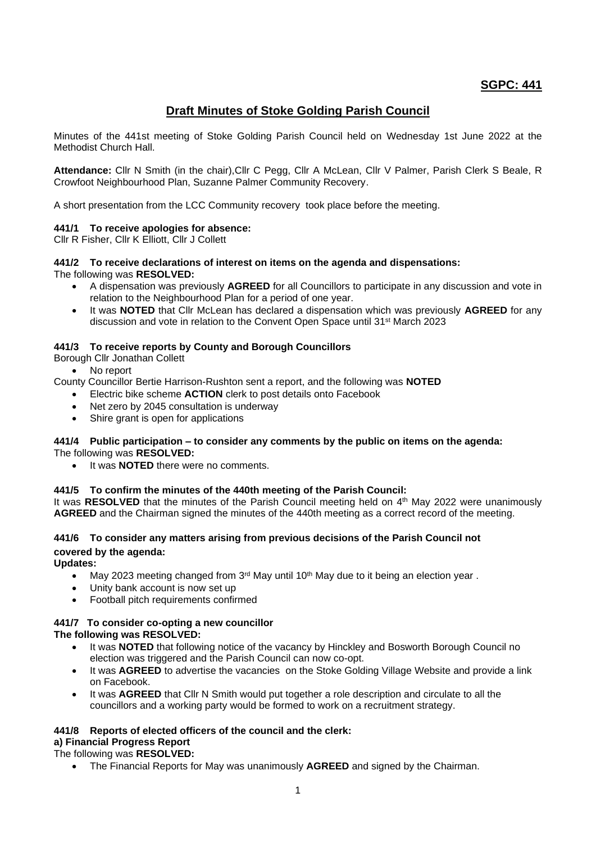## **SGPC: 441**

# **Draft Minutes of Stoke Golding Parish Council**

Minutes of the 441st meeting of Stoke Golding Parish Council held on Wednesday 1st June 2022 at the Methodist Church Hall.

**Attendance:** Cllr N Smith (in the chair),Cllr C Pegg, Cllr A McLean, Cllr V Palmer, Parish Clerk S Beale, R Crowfoot Neighbourhood Plan, Suzanne Palmer Community Recovery.

A short presentation from the LCC Community recovery took place before the meeting.

## **441/1 To receive apologies for absence:**

Cllr R Fisher, Cllr K Elliott, Cllr J Collett

# **441/2 To receive declarations of interest on items on the agenda and dispensations:**

The following was **RESOLVED:**

- A dispensation was previously **AGREED** for all Councillors to participate in any discussion and vote in relation to the Neighbourhood Plan for a period of one year.
- It was **NOTED** that Cllr McLean has declared a dispensation which was previously **AGREED** for any discussion and vote in relation to the Convent Open Space until 31st March 2023

#### **441/3 To receive reports by County and Borough Councillors**

Borough Cllr Jonathan Collett

No report

- County Councillor Bertie Harrison-Rushton sent a report, and the following was **NOTED**
	- Electric bike scheme **ACTION** clerk to post details onto Facebook
	- Net zero by 2045 consultation is underway
	- Shire grant is open for applications

#### **441/4 Public participation – to consider any comments by the public on items on the agenda:** The following was **RESOLVED:**

• It was **NOTED** there were no comments.

#### **441/5 To confirm the minutes of the 440th meeting of the Parish Council:**

It was RESOLVED that the minutes of the Parish Council meeting held on 4<sup>th</sup> May 2022 were unanimously **AGREED** and the Chairman signed the minutes of the 440th meeting as a correct record of the meeting.

## **441/6 To consider any matters arising from previous decisions of the Parish Council not covered by the agenda:**

**Updates:**

- May 2023 meeting changed from 3<sup>rd</sup> May until 10<sup>th</sup> May due to it being an election year.
- Unity bank account is now set up
- Football pitch requirements confirmed

# **441/7 To consider co-opting a new councillor**

## **The following was RESOLVED:**

- It was **NOTED** that following notice of the vacancy by Hinckley and Bosworth Borough Council no election was triggered and the Parish Council can now co-opt.
- It was AGREED to advertise the vacancies on the Stoke Golding Village Website and provide a link on Facebook.
- It was **AGREED** that Cllr N Smith would put together a role description and circulate to all the councillors and a working party would be formed to work on a recruitment strategy.

# **441/8 Reports of elected officers of the council and the clerk:**

**a) Financial Progress Report**  The following was **RESOLVED:**

• The Financial Reports for May was unanimously **AGREED** and signed by the Chairman.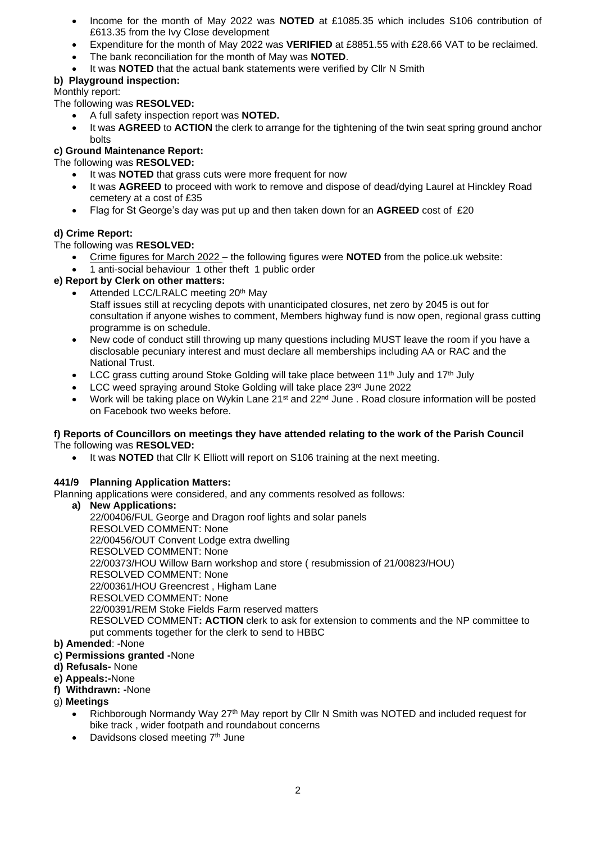- Income for the month of May 2022 was **NOTED** at £1085.35 which includes S106 contribution of £613.35 from the Ivy Close development
- Expenditure for the month of May 2022 was **VERIFIED** at £8851.55 with £28.66 VAT to be reclaimed.
- The bank reconciliation for the month of May was **NOTED**.
- It was **NOTED** that the actual bank statements were verified by Cllr N Smith

## **b) Playground inspection:**

## Monthly report:

The following was **RESOLVED:**

- A full safety inspection report was **NOTED.**
- It was **AGREED** to **ACTION** the clerk to arrange for the tightening of the twin seat spring ground anchor bolts

## **c) Ground Maintenance Report:**

The following was **RESOLVED:**

- It was **NOTED** that grass cuts were more frequent for now
- It was **AGREED** to proceed with work to remove and dispose of dead/dying Laurel at Hinckley Road cemetery at a cost of £35
- Flag for St George's day was put up and then taken down for an **AGREED** cost of £20

## **d) Crime Report:**

The following was **RESOLVED:**

- Crime figures for March 2022 the following figures were **NOTED** from the police.uk website:
- 1 anti-social behaviour 1 other theft 1 public order

## **e) Report by Clerk on other matters:**

- Attended LCC/LRALC meeting 20th Mav Staff issues still at recycling depots with unanticipated closures, net zero by 2045 is out for consultation if anyone wishes to comment, Members highway fund is now open, regional grass cutting programme is on schedule.
- New code of conduct still throwing up many questions including MUST leave the room if you have a disclosable pecuniary interest and must declare all memberships including AA or RAC and the National Trust.
- LCC grass cutting around Stoke Golding will take place between  $11^{th}$  July and  $17^{th}$  July
- LCC weed spraying around Stoke Golding will take place 23rd June 2022
- Work will be taking place on Wykin Lane 21st and 22nd June . Road closure information will be posted on Facebook two weeks before.

#### **f) Reports of Councillors on meetings they have attended relating to the work of the Parish Council** The following was **RESOLVED:**

• It was **NOTED** that Cllr K Elliott will report on S106 training at the next meeting.

## **441/9 Planning Application Matters:**

Planning applications were considered, and any comments resolved as follows:

- **a) New Applications:** 22/00406/FUL George and Dragon roof lights and solar panels RESOLVED COMMENT: None 22/00456/OUT Convent Lodge extra dwelling RESOLVED COMMENT: None 22/00373/HOU Willow Barn workshop and store ( resubmission of 21/00823/HOU) RESOLVED COMMENT: None 22/00361/HOU Greencrest , Higham Lane RESOLVED COMMENT: None 22/00391/REM Stoke Fields Farm reserved matters RESOLVED COMMENT**: ACTION** clerk to ask for extension to comments and the NP committee to put comments together for the clerk to send to HBBC
- **b) Amended**: -None
- **c) Permissions granted -**None
- **d) Refusals-** None
- **e) Appeals:-**None
- **f) Withdrawn: -**None
- g) **Meetings**
	- Richborough Normandy Way 27th May report by Cllr N Smith was NOTED and included request for bike track , wider footpath and roundabout concerns
	- Davidsons closed meeting 7<sup>th</sup> June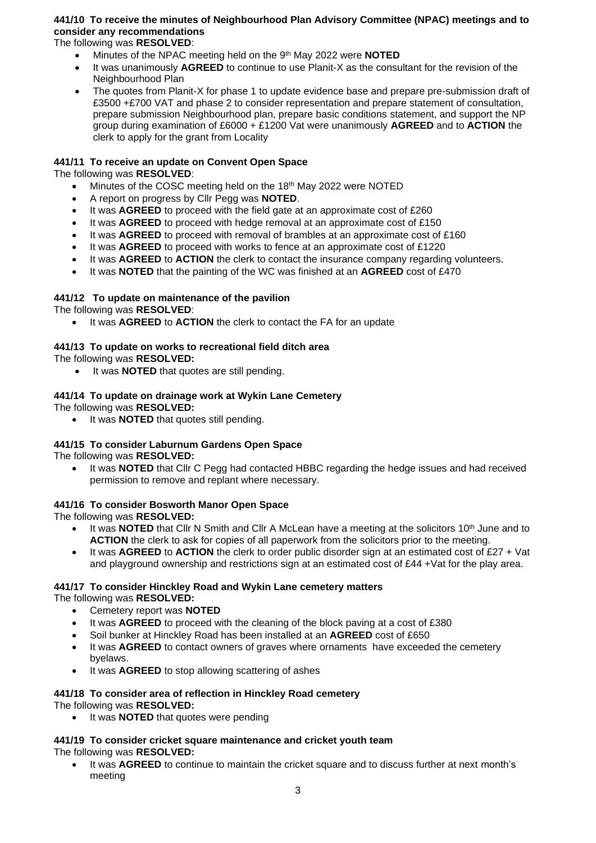## **441/10 To receive the minutes of Neighbourhood Plan Advisory Committee (NPAC) meetings and to consider any recommendations**

The following was **RESOLVED**:

- Minutes of the NPAC meeting held on the 9<sup>th</sup> May 2022 were **NOTED**
- It was unanimously **AGREED** to continue to use Planit-X as the consultant for the revision of the Neighbourhood Plan
- The quotes from Planit-X for phase 1 to update evidence base and prepare pre-submission draft of £3500 +£700 VAT and phase 2 to consider representation and prepare statement of consultation, prepare submission Neighbourhood plan, prepare basic conditions statement, and support the NP group during examination of £6000 + £1200 Vat were unanimously **AGREED** and to **ACTION** the clerk to apply for the grant from Locality

## **441/11 To receive an update on Convent Open Space**

The following was **RESOLVED**:

- Minutes of the COSC meeting held on the 18<sup>th</sup> May 2022 were NOTED
- A report on progress by Cllr Pegg was **NOTED**.
- It was **AGREED** to proceed with the field gate at an approximate cost of £260
- It was **AGREED** to proceed with hedge removal at an approximate cost of £150
- It was **AGREED** to proceed with removal of brambles at an approximate cost of £160
- It was **AGREED** to proceed with works to fence at an approximate cost of £1220
- It was **AGREED** to **ACTION** the clerk to contact the insurance company regarding volunteers.
- It was **NOTED** that the painting of the WC was finished at an **AGREED** cost of £470

## **441/12 To update on maintenance of the pavilion**

The following was **RESOLVED**:

• It was **AGREED** to **ACTION** the clerk to contact the FA for an update

## **441/13 To update on works to recreational field ditch area**

The following was **RESOLVED:**

• It was **NOTED** that quotes are still pending.

# **441/14 To update on drainage work at Wykin Lane Cemetery**

The following was **RESOLVED:**

• It was **NOTED** that quotes still pending.

#### **441/15 To consider Laburnum Gardens Open Space** The following was **RESOLVED:**

- - It was **NOTED** that Cllr C Pegg had contacted HBBC regarding the hedge issues and had received permission to remove and replant where necessary.

## **441/16 To consider Bosworth Manor Open Space**

The following was **RESOLVED:**

- It was **NOTED** that Cllr N Smith and Cllr A McLean have a meeting at the solicitors 10<sup>th</sup> June and to **ACTION** the clerk to ask for copies of all paperwork from the solicitors prior to the meeting.
- It was **AGREED** to **ACTION** the clerk to order public disorder sign at an estimated cost of £27 + Vat and playground ownership and restrictions sign at an estimated cost of £44 +Vat for the play area.

#### **441/17 To consider Hinckley Road and Wykin Lane cemetery matters** The following was **RESOLVED:**

- Cemetery report was **NOTED**
- It was **AGREED** to proceed with the cleaning of the block paving at a cost of £380
- Soil bunker at Hinckley Road has been installed at an **AGREED** cost of £650
- It was **AGREED** to contact owners of graves where ornaments have exceeded the cemetery byelaws.
- It was **AGREED** to stop allowing scattering of ashes

#### **441/18 To consider area of reflection in Hinckley Road cemetery** The following was **RESOLVED:**

It was **NOTED** that quotes were pending

#### **441/19 To consider cricket square maintenance and cricket youth team** The following was **RESOLVED:**

• It was **AGREED** to continue to maintain the cricket square and to discuss further at next month's meeting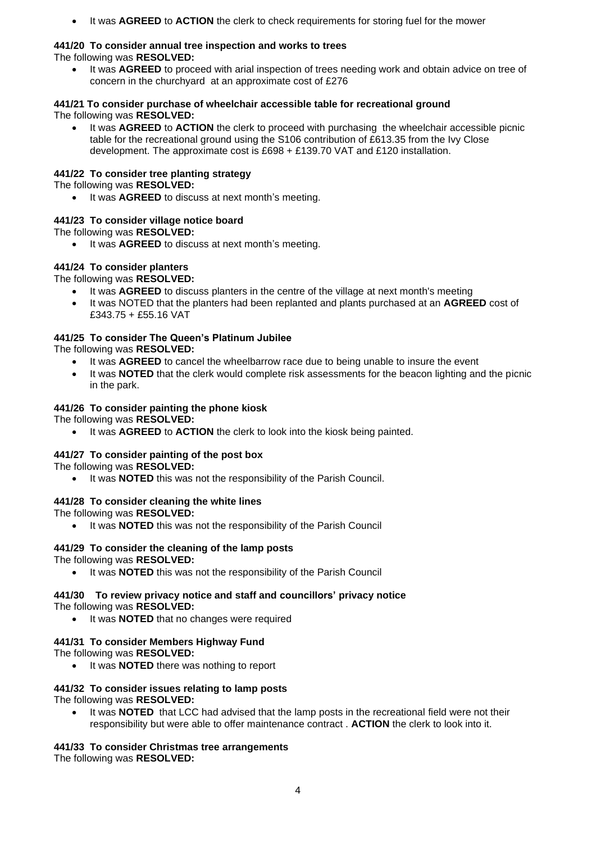• It was **AGREED** to **ACTION** the clerk to check requirements for storing fuel for the mower

#### **441/20 To consider annual tree inspection and works to trees** The following was **RESOLVED:**

• It was **AGREED** to proceed with arial inspection of trees needing work and obtain advice on tree of concern in the churchyard at an approximate cost of £276

#### **441/21 To consider purchase of wheelchair accessible table for recreational ground** The following was **RESOLVED:**

• It was **AGREED** to **ACTION** the clerk to proceed with purchasing the wheelchair accessible picnic table for the recreational ground using the S106 contribution of £613.35 from the Ivy Close development. The approximate cost is £698 + £139.70 VAT and £120 installation.

## **441/22 To consider tree planting strategy**

The following was **RESOLVED:**

It was **AGREED** to discuss at next month's meeting.

## **441/23 To consider village notice board**

The following was **RESOLVED:**

It was **AGREED** to discuss at next month's meeting.

## **441/24 To consider planters**

The following was **RESOLVED:**

- It was **AGREED** to discuss planters in the centre of the village at next month's meeting
- It was NOTED that the planters had been replanted and plants purchased at an **AGREED** cost of £343.75 + £55.16 VAT

# **441/25 To consider The Queen's Platinum Jubilee**

The following was **RESOLVED:**

- It was **AGREED** to cancel the wheelbarrow race due to being unable to insure the event
- It was **NOTED** that the clerk would complete risk assessments for the beacon lighting and the picnic in the park.

## **441/26 To consider painting the phone kiosk**

The following was **RESOLVED:**

It was **AGREED** to **ACTION** the clerk to look into the kiosk being painted.

## **441/27 To consider painting of the post box**

The following was **RESOLVED:**

It was **NOTED** this was not the responsibility of the Parish Council.

## **441/28 To consider cleaning the white lines**

The following was **RESOLVED:**

• It was **NOTED** this was not the responsibility of the Parish Council

#### **441/29 To consider the cleaning of the lamp posts** The following was **RESOLVED:**

• It was **NOTED** this was not the responsibility of the Parish Council

#### **441/30 To review privacy notice and staff and councillors' privacy notice** The following was **RESOLVED:**

• It was **NOTED** that no changes were required

## **441/31 To consider Members Highway Fund**

The following was **RESOLVED:**

• It was **NOTED** there was nothing to report

#### **441/32 To consider issues relating to lamp posts** The following was **RESOLVED:**

It was **NOTED** that LCC had advised that the lamp posts in the recreational field were not their responsibility but were able to offer maintenance contract . **ACTION** the clerk to look into it.

## **441/33 To consider Christmas tree arrangements**

The following was **RESOLVED:**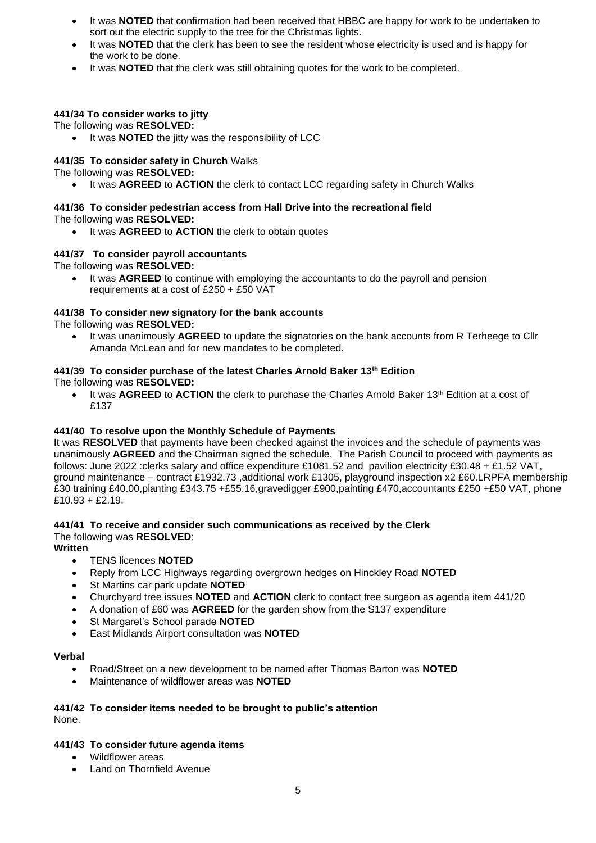- It was **NOTED** that confirmation had been received that HBBC are happy for work to be undertaken to sort out the electric supply to the tree for the Christmas lights.
- It was **NOTED** that the clerk has been to see the resident whose electricity is used and is happy for the work to be done.
- It was **NOTED** that the clerk was still obtaining quotes for the work to be completed.

#### **441/34 To consider works to jitty**

The following was **RESOLVED:**

• It was **NOTED** the jitty was the responsibility of LCC

#### **441/35 To consider safety in Church** Walks

The following was **RESOLVED:**

• It was **AGREED** to **ACTION** the clerk to contact LCC regarding safety in Church Walks

# **441/36 To consider pedestrian access from Hall Drive into the recreational field**

The following was **RESOLVED:**

It was **AGREED** to **ACTION** the clerk to obtain quotes

#### **441/37 To consider payroll accountants**

The following was **RESOLVED:**

• It was **AGREED** to continue with employing the accountants to do the payroll and pension requirements at a cost of £250 + £50 VAT

#### **441/38 To consider new signatory for the bank accounts**

The following was **RESOLVED:**

• It was unanimously **AGREED** to update the signatories on the bank accounts from R Terheege to Cllr Amanda McLean and for new mandates to be completed.

#### **441/39 To consider purchase of the latest Charles Arnold Baker 13th Edition**

The following was **RESOLVED:**

• It was **AGREED** to **ACTION** the clerk to purchase the Charles Arnold Baker 13th Edition at a cost of £137

## **441/40 To resolve upon the Monthly Schedule of Payments**

It was **RESOLVED** that payments have been checked against the invoices and the schedule of payments was unanimously **AGREED** and the Chairman signed the schedule. The Parish Council to proceed with payments as follows: June 2022 :clerks salary and office expenditure £1081.52 and pavilion electricity £30.48 + £1.52 VAT, ground maintenance – contract £1932.73 ,additional work £1305, playground inspection x2 £60.LRPFA membership £30 training £40.00,planting £343.75 +£55.16,gravedigger £900,painting £470,accountants £250 +£50 VAT, phone £10.93 + £2.19.

#### **441/41 To receive and consider such communications as received by the Clerk** The following was **RESOLVED**:

**Written**

- TENS licences **NOTED**
- Reply from LCC Highways regarding overgrown hedges on Hinckley Road **NOTED**
- St Martins car park update **NOTED**
- Churchyard tree issues **NOTED** and **ACTION** clerk to contact tree surgeon as agenda item 441/20
- A donation of £60 was **AGREED** for the garden show from the S137 expenditure
- St Margaret's School parade **NOTED**
- East Midlands Airport consultation was **NOTED**

#### **Verbal**

- Road/Street on a new development to be named after Thomas Barton was **NOTED**
- Maintenance of wildflower areas was **NOTED**

#### **441/42 To consider items needed to be brought to public's attention** None.

## **441/43 To consider future agenda items**

- Wildflower areas
- Land on Thornfield Avenue